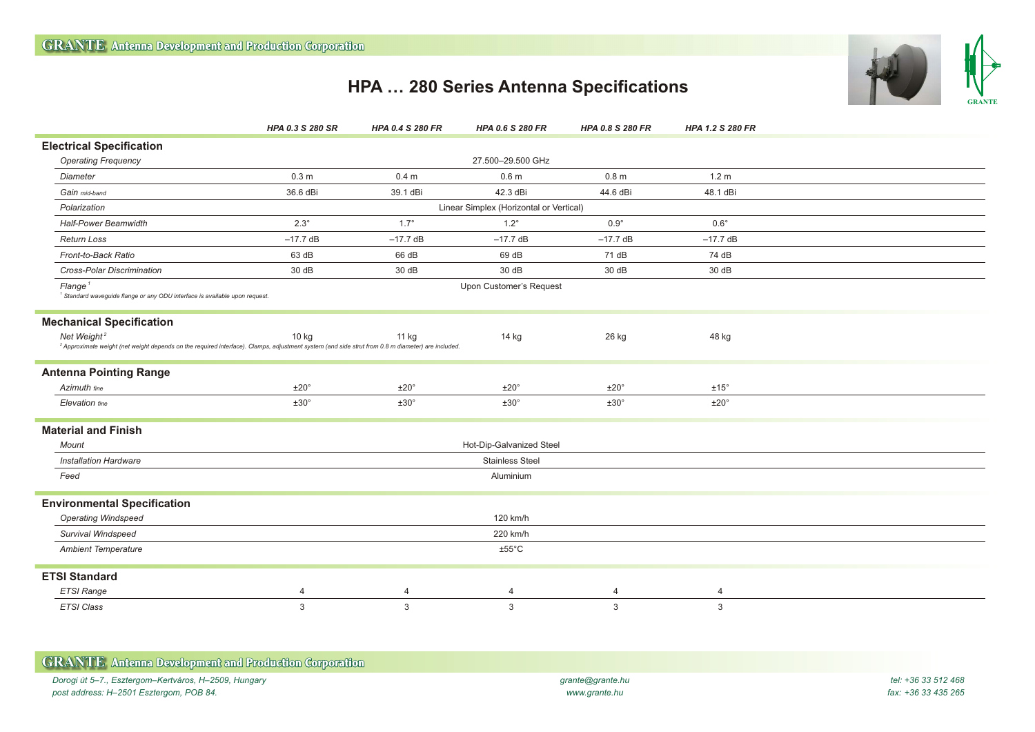

## **HPA … 280 Series Antenna Specifications**

|                                                                                                                                                                                         | HPA 0.3 S 280 SR         | <b>HPA 0.4 S 280 FR</b>                 | <b>HPA 0.6 S 280 FR</b> | HPA 0.8 S 280 FR | HPA 1.2 S 280 FR |  |  |
|-----------------------------------------------------------------------------------------------------------------------------------------------------------------------------------------|--------------------------|-----------------------------------------|-------------------------|------------------|------------------|--|--|
| <b>Electrical Specification</b>                                                                                                                                                         |                          |                                         |                         |                  |                  |  |  |
| <b>Operating Frequency</b>                                                                                                                                                              |                          |                                         | 27.500-29.500 GHz       |                  |                  |  |  |
| Diameter                                                                                                                                                                                | 0.3 <sub>m</sub>         | 0.4 <sub>m</sub>                        | 0.6 <sub>m</sub>        | 0.8 <sub>m</sub> | 1.2 <sub>m</sub> |  |  |
| Gain mid-band                                                                                                                                                                           | 36.6 dBi                 | 39.1 dBi                                | 42.3 dBi                | 44.6 dBi         | 48.1 dBi         |  |  |
| Polarization                                                                                                                                                                            |                          | Linear Simplex (Horizontal or Vertical) |                         |                  |                  |  |  |
| <b>Half-Power Beamwidth</b>                                                                                                                                                             | $2.3^\circ$              | $1.7^\circ$                             | $1.2^\circ$             | $0.9^\circ$      | $0.6^\circ$      |  |  |
| <b>Return Loss</b>                                                                                                                                                                      | $-17.7$ dB               | $-17.7$ dB                              | $-17.7$ dB              | $-17.7$ dB       | $-17.7$ dB       |  |  |
| Front-to-Back Ratio                                                                                                                                                                     | 63 dB                    | 66 dB                                   | 69 dB                   | 71 dB            | 74 dB            |  |  |
| Cross-Polar Discrimination                                                                                                                                                              | 30 dB                    | 30 dB                                   | 30 dB                   | 30 dB            | 30 dB            |  |  |
| Flange <sup>1</sup><br><sup>1</sup> Standard waveguide flange or any ODU interface is available upon request.                                                                           |                          |                                         | Upon Customer's Request |                  |                  |  |  |
| <b>Mechanical Specification</b>                                                                                                                                                         |                          |                                         |                         |                  |                  |  |  |
| Net Weight <sup>2</sup><br><sup>2</sup> Approximate weight (net weight depends on the required interface). Clamps, adjustment system (and side strut from 0.8 m diameter) are included. | $10$ kg                  | 11 kg                                   | 14 kg                   | 26 kg            | 48 kg            |  |  |
| <b>Antenna Pointing Range</b>                                                                                                                                                           |                          |                                         |                         |                  |                  |  |  |
| Azimuth fine                                                                                                                                                                            | ±20°                     | ±20°                                    | $±20^{\circ}$           | ±20°             | $±15^{\circ}$    |  |  |
| Elevation fine                                                                                                                                                                          | ±30°                     | ±30°                                    | $±30^{\circ}$           | ±30°             | $±20^{\circ}$    |  |  |
| <b>Material and Finish</b>                                                                                                                                                              |                          |                                         |                         |                  |                  |  |  |
| Mount                                                                                                                                                                                   | Hot-Dip-Galvanized Steel |                                         |                         |                  |                  |  |  |
| <b>Installation Hardware</b>                                                                                                                                                            | <b>Stainless Steel</b>   |                                         |                         |                  |                  |  |  |
| Feed                                                                                                                                                                                    | Aluminium                |                                         |                         |                  |                  |  |  |
| <b>Environmental Specification</b>                                                                                                                                                      |                          |                                         |                         |                  |                  |  |  |
| <b>Operating Windspeed</b>                                                                                                                                                              |                          |                                         | 120 km/h                |                  |                  |  |  |
| Survival Windspeed                                                                                                                                                                      |                          |                                         | 220 km/h                |                  |                  |  |  |
| <b>Ambient Temperature</b>                                                                                                                                                              |                          |                                         | $±55^{\circ}$ C         |                  |                  |  |  |
| <b>ETSI Standard</b>                                                                                                                                                                    |                          |                                         |                         |                  |                  |  |  |
| <b>ETSI Range</b>                                                                                                                                                                       | 4                        | $\overline{4}$                          | 4                       | 4                | $\overline{4}$   |  |  |
| ETSI Class                                                                                                                                                                              | 3                        | 3                                       | 3                       | 3                | 3                |  |  |

| <b>GRANTE</b> Antenna Development and Production Corporation |                  |                     |
|--------------------------------------------------------------|------------------|---------------------|
| Dorogi út 5–7., Esztergom–Kertváros, H–2509, Hungary         | grante@grante.hu | tel: +36 33 512 468 |
| post address: H–2501 Esztergom, POB 84.                      | www.grante.hu    | fax: +36 33 435 265 |